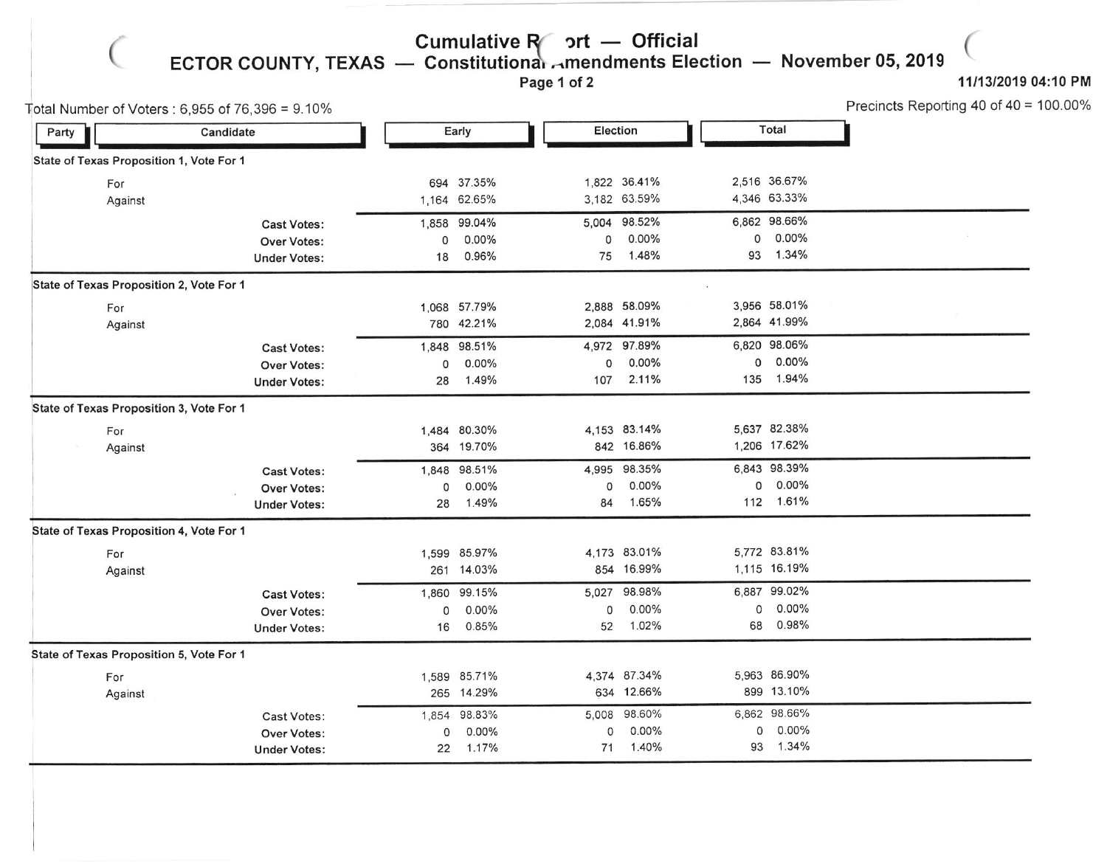Cumulative R ort — Official<br>ECTOR COUNTY, TEXAS — Constitutionar Amendments Ele — Constitutionar ⊶mendments Election — November 05, 2019<br>Page 1 of 2

Page 1 of 2

 $\big($ 

## 11/13/2019 04:10 PM

(

|                                          | Total Number of Voters : 6,955 of 76,396 = 9.10% |              |              |       |              |    |              | Precincts Reporting 40 of 40 = 100.00% |
|------------------------------------------|--------------------------------------------------|--------------|--------------|-------|--------------|----|--------------|----------------------------------------|
| Party                                    | Candidate                                        |              | Early        |       | Election     |    | Total        |                                        |
| State of Texas Proposition 1, Vote For 1 |                                                  |              |              |       |              |    |              |                                        |
| For                                      |                                                  |              | 694 37.35%   |       | 1,822 36.41% |    | 2,516 36.67% |                                        |
| Against                                  |                                                  | 1,164 62.65% |              |       | 3,182 63.59% |    | 4,346 63.33% |                                        |
|                                          | <b>Cast Votes:</b>                               | 1,858        | 99.04%       |       | 5,004 98.52% |    | 6,862 98.66% |                                        |
|                                          | Over Votes:                                      | 0            | 0.00%        | 0     | $0.00\%$     | 0  | 0.00%        |                                        |
|                                          | <b>Under Votes:</b>                              | 18           | 0.96%        | 75    | 1.48%        |    | 93 1.34%     |                                        |
| State of Texas Proposition 2, Vote For 1 |                                                  |              |              |       |              |    |              |                                        |
| For                                      |                                                  |              | 1,068 57.79% |       | 2,888 58.09% |    | 3,956 58.01% |                                        |
| Against                                  |                                                  |              | 780 42.21%   |       | 2,084 41.91% |    | 2,864 41.99% |                                        |
|                                          | <b>Cast Votes:</b>                               | 1,848        | 98.51%       |       | 4,972 97.89% |    | 6,820 98.06% |                                        |
|                                          | <b>Over Votes:</b>                               | 0            | 0.00%        | 0     | $0.00\%$     |    | $0.00\%$     |                                        |
|                                          | <b>Under Votes:</b>                              | 28           | 1.49%        | 107   | 2.11%        |    | 135 1.94%    |                                        |
| State of Texas Proposition 3, Vote For 1 |                                                  |              |              |       |              |    |              |                                        |
| For                                      |                                                  |              | 1,484 80.30% |       | 4,153 83.14% |    | 5,637 82.38% |                                        |
| Against                                  |                                                  |              | 364 19.70%   |       | 842 16.86%   |    | 1,206 17.62% |                                        |
|                                          | <b>Cast Votes:</b>                               | 1,848        | 98.51%       |       | 4,995 98.35% |    | 6,843 98.39% |                                        |
|                                          | <b>Over Votes:</b>                               | $\mathsf{o}$ | 0.00%        | 0     | 0.00%        | 0  | 0.00%        |                                        |
|                                          | <b>Under Votes:</b>                              | 28           | 1.49%        | 84    | 1.65%        |    | 112 1.61%    |                                        |
| State of Texas Proposition 4, Vote For 1 |                                                  |              |              |       |              |    |              |                                        |
| For                                      |                                                  |              | 1,599 85.97% |       | 4,173 83.01% |    | 5,772 83.81% |                                        |
| Against                                  |                                                  |              | 261 14.03%   |       | 854 16.99%   |    | 1,115 16.19% |                                        |
|                                          | Cast Votes:                                      |              | 1,860 99.15% | 5,027 | 98.98%       |    | 6,887 99.02% |                                        |
|                                          | <b>Over Votes:</b>                               | $\mathsf{o}$ | $0.00\%$     | 0     | $0.00\%$     | 0  | $0.00\%$     |                                        |
|                                          | <b>Under Votes:</b>                              | 16           | 0.85%        | 52    | 1.02%        | 68 | 0.98%        |                                        |
| State of Texas Proposition 5, Vote For 1 |                                                  |              |              |       |              |    |              |                                        |
| For                                      |                                                  |              | 1,589 85.71% |       | 4,374 87.34% |    | 5,963 86.90% |                                        |
| Against                                  |                                                  |              | 265 14.29%   |       | 634 12.66%   |    | 899 13.10%   |                                        |
|                                          | <b>Cast Votes:</b>                               |              | 1,854 98.83% |       | 5,008 98.60% |    | 6,862 98.66% |                                        |
|                                          | Over Votes:                                      | 0            | $0.00\%$     | O     | $0.00\%$     | 0  | 0.00%        |                                        |
|                                          | <b>Under Votes:</b>                              | 22           | 1.17%        | 71    | 1.40%        | 93 | 1.34%        |                                        |